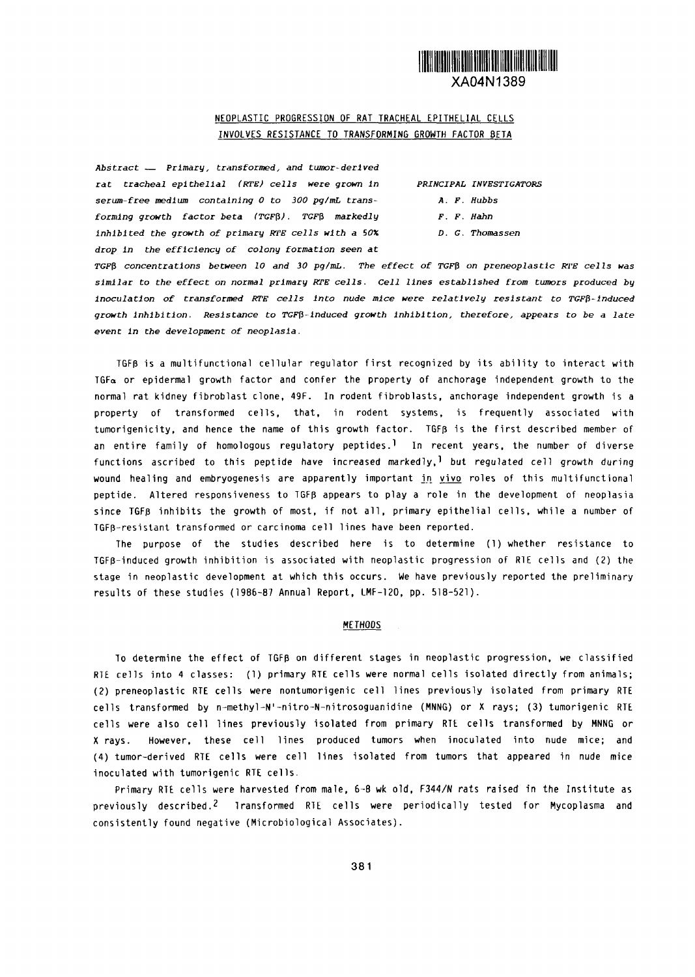# XA04N1389

### NEOPLASTIC PROGRESSION OF RAT TRACHEAL EPITHELIAL CELLS INVOLVES RESISTANCE TO TRANSFORMING GROWTH FACTOR BETA

*Abstract - Primary, transformed, and tumor-derived rat tracheal epithelial (RTE) cells were grown In PRINCIPAL INVESTIGATORS serum-free medium containing to 300 pg/mL trans- A. F. Hubbs forming growth factor beta (TGFO). TF markedly F. F. Hahn inhibited the growth of primary RE cells with* a 0% *D. C. Thomassen drop In the efficiency of colony formation seen at*

*TGFff concentrations between 10 and 30 pglmL. The effect of TGFO on preneoplastic WE cells was similar to the effect on normal primary rE cells. Cell lines established from tumors* produced **by** *Inoculation of transformed RTE cells Into nude mice were relatively resistant to O-Induced growth inhibition. Resistance to TGFO-Induced growth inhibition, therefore, appears to be* a late *event In the development of neoplasia.*

TGFp is a multifunctional cellular regulator first recognized by its ability to interact with  $TGF_{\alpha}$  or epidermal growth factor and confer the property of anchorage independent growth to the normal rat kidney fibroblast clone, 49F. In rodent fibroblasts, anchorage independent growth is a property of transformed cells, that, in rodent systems, is frequently associated with tumorigenicity, and hence the name of this growth factor. TGFB is the first described member of an entire family of homologous regulatory peptides.<sup>1</sup> In recent years, the number of diverse functions ascribed to this peptide have increased markedly,<sup>1</sup> but regulated cell growth during wound healing and embryogenesis are apparently important in vivo roles of this multifunctional peptide. Altered responsiveness to TGF5 appears to play a role in the development of neoplasia since TGFp inhibits the growth of most, if not all, primary epithelial cells, while a number of TGFp-resistant transformed or carcinoma cell lines have been reported.

The purpose of the studies described here is to determine (1) whether resistance to TGFB-induced growth inhibition is associated with neoplastic progression of RIE cells and (2) the stage in neoplastic development at which this occurs. We have previously reported the preliminary results of these studies 1986-87 Annual Report, LMF-120, pp. 518-521).

#### METHODS

lo determine the effect of TGFp on different stages in neoplastic progression, we classified RIE cells into 4 classes: (1) primary RTE cells were normal cells isolated directly from animals; (2) preneoplastic RTE cells were nontumorigenic cell lines previously isolated from primary RTE cells transformed by n-methyl-N'-nitro-N-nitrosoguanidine (MNNG) or X rays; (3) tumorigenic RTE cells were also cell lines previously isolated from primary RTE cells transformed by MNNG or X rays. However, these cell lines produced tumors when inoculated into nude mice; and (4) tumor-derived RIFE cells were cell lines isolated from tumors that appeared in nude mice inoculated with tumorigenic RTE cells.

Primary RTE cells were harvested from male, 6-8 wk old, F344/N rats raised in the Institute as previously described.<sup>2</sup> Iransformed RTE cells were periodically tested for Mycoplasma and consistently found negative (Microbiological Associates).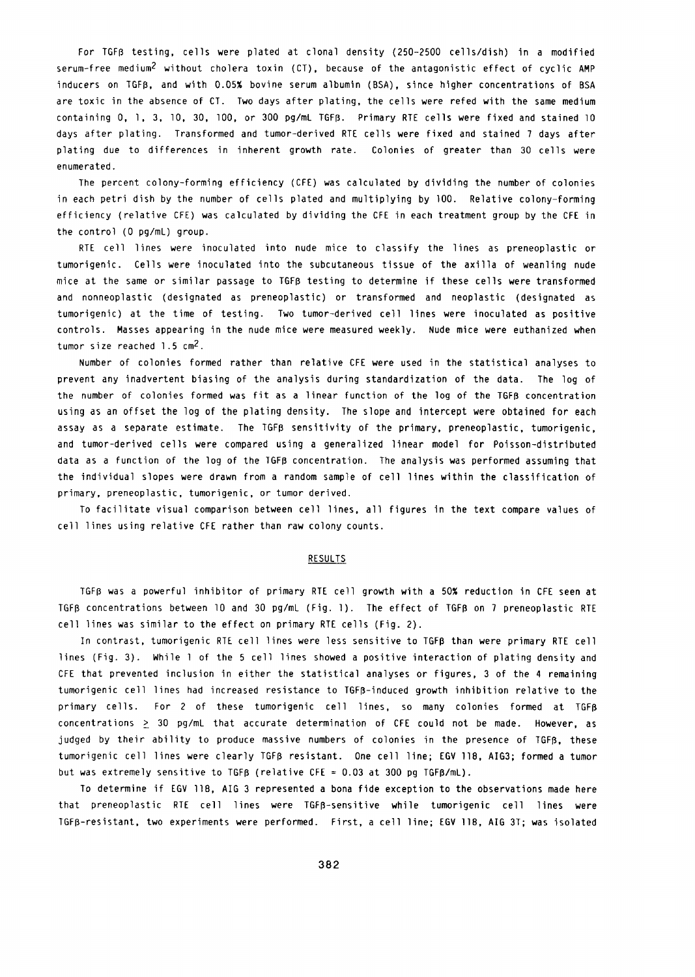For TGFB testing, cells were plated at clonal density (250-2500 cells/dish) in a modified serum-free medium<sup>2</sup> without cholera toxin (CT), because of the antagonistic effect of cyclic AMP inducers on TGFO, and with 0.05% bovine serum albumin (BSA), since higher concentrations of BSA are toxic in the absence of CT. Two days after plating, the cells were refed with the same medium containing 0, 1, 3, 10, 30, 100, or 300 pg/mL TGFB. Primary RTE cells were fixed and stained 10 days after plating. Transformed and tumor-derived RTE cells were fixed and stained 7 days after plating due to differences in inherent growth rate. Colonies of greater than 30 cells were enumerated.

The percent colony-forming efficiency (CFE) was calculated by dividing the number of colonies in each petri dish by the number of cells plated and multiplying by 100. Relative colony-forming efficiency (relative CFE) was calculated by dividing the CFE in each treatment group by the CFE in the control (O pg/mL) group.

RTE cell lines were inoculated into nude mice to classify the lines as preneoplastic or tumorigenic. Cells were inoculated into the subcutaneous tissue of the axilla of weanling nude mice at the same or similar passage to TGFp testing to determine if these cells were transformed and nonneoplastic (designated as preneoplastic) or transformed and neoplastic (designated as tumorigenic) at the time of testing. Two tumor-derived cell lines were inoculated as positive controls. Masses appearing in the nude mice were measured weekly. Nude mice were euthanized when tumor size reached 1.5 cm<sup>2</sup>.

Number of colonies formed rather than relative CFE were used in the statistical analyses to prevent any inadvertent biasing of the analysis during standardization of the data. The log of the number of colonies formed was fit as a linear function of the log of the TGFB concentration using as an offset the log of the plating density. The slope and intercept were obtained for each assay as a separate estimate. The TGFB sensitivity of the primary, preneoplastic, tumorigenic, and tumor-derived cells were compared using a generalized linear model for Poisson-distributed data as a function of the log of the GFp concentration. The analysis was performed assuming that the individual slopes were drawn from a random sample of cell lines within the classification of primary, preneoplastic, tumorigenic, or tumor derived.

To facilitate visual comparison between cell lines, all figures in the text compare values of cell lines using relative CFE rather than raw colony counts.

#### **RESULTS**

TGFp was a powerful inhibitor of primary RTE cell growth with a 50% reduction in CFE seen at TGFB concentrations between 10 and 30 pg/mL (Fig. 1). The effect of TGFB on 7 preneoplastic RTE cell lines was similar to the effect on primary RTE cells (Fig. 2).

In contrast, tumorigenic RTE cell lines were less sensitive to TGFp than were primary RTE cell lines (Fig. 3). While 1 of the 5 cell lines showed a positive interaction of plating density and CFE that prevented inclusion in either the statistical analyses or figures, 3 of the 4 remaining tumorigenic cell lines had increased resistance to TGFp-induced growth inhibition relative to the primary cells. For 2 of these tumorigenic cell lines, so many colonies formed at TGFR concentrations  $\geq$  30 pg/mL that accurate determination of CFE could not be made. However, as judged by their ability to produce massive numbers of colonies in the presence of TGF5, these tumorigenic cell lines were clearly TGF5 resistant. One cell line; EGV 118, AIG3; formed a tumor but was extremely sensitive to TGFB (relative CFE = 0.03 at 300 pg TGFB/mL).

To determine if EGV 118, AIG 3 represented a bona fide exception to the observations made here that preneoplastic RTE cell lines were TGFp-sensitive while tumorigenic cell lines were TGFp-resistant, two experiments were performed. First, a cell line; EGV 11B, AIG 3T; was isolated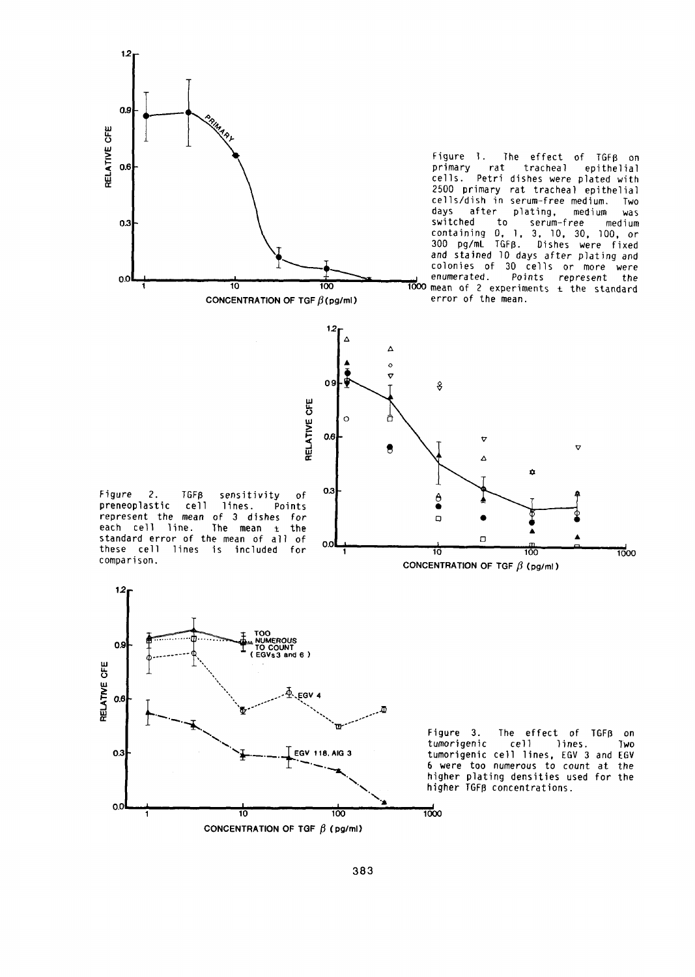

 $12$ Δ

 $\Delta$ 

2500 primary rat tracheal epithelial cells/dish in serum-free medium. Two days after plating, medium was containing 0, 1, 3, 10, 30, 100, or 300 pg/mL TGFB. Dishes were fixed and stained 10 days after plating and colonies of 30 cells or more were 10 100 100 1000 mean of 2 experiments ± the standard

Figure *2.* TGFp sensitivity of *OA*  preneoplastic cell lines. Points represent the mean of 3 dishes for  $\frac{1}{2}$ 

**TOO**<br> **TOO COUNT OS** 

**---------- EGV53 and 6**

 $6.664$  **T** 

*12 -*

**LL LLI**

**ir**

.0

1







л

 $10$  100  $100$  100 100

CONCENTRATION OF TGF  $\beta$  (pg/ml)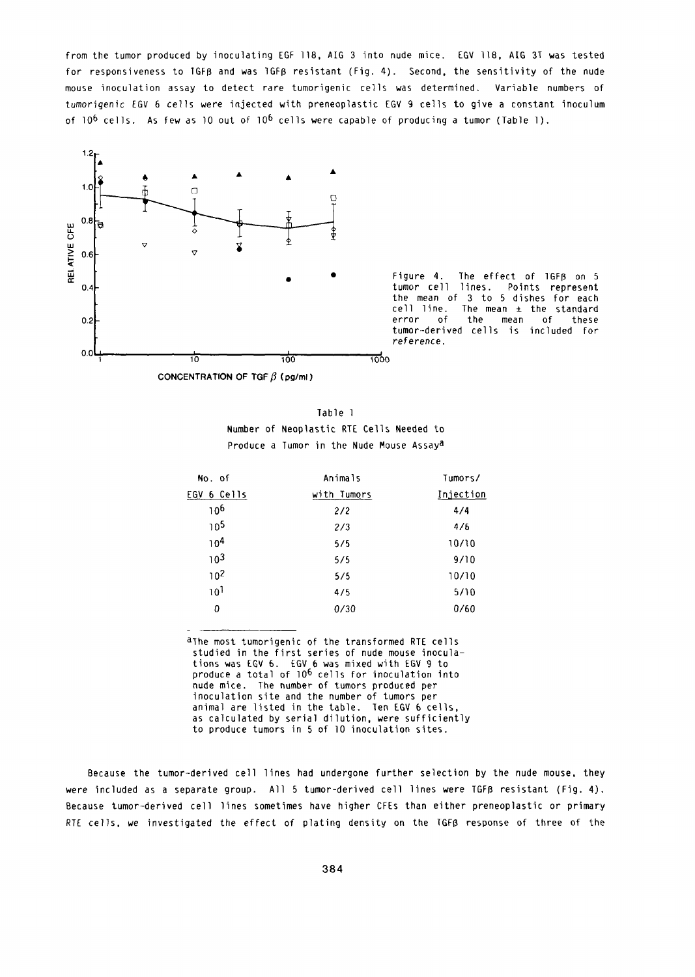from the tumor produced by inoculating EGF 118, AIG 3 into nude mice. EGV 118, AIG 3T was tested for responsiveness to  $1$ GFB and was  $1$ GFB resistant (Fig. 4). Second, the sensitivity of the nude mouse inoculation assay to detect rare tumorigenic cells was determined. Variable numbers of tumorigenic EGV 6 cells were injected with preneoplastic EGV 9 cells to give a constant inoculum of  $10^6$  cells. As few as 10 out of  $10^6$  cells were capable of producing a tumor (Table 1).



the mean of 3 to 5 dishes for each cell line. The mean  $\pm$  the standard tumor-derived cells is included for reference.

Table I Number of Neoplastic RTE Cells Needed to Produce a Tumor in the Nude Mouse Assaya

| No. of          | Animals     | Tumors/   |
|-----------------|-------------|-----------|
| 6 Cells<br>EGV  | with Tumors | Injection |
| 106             | 2/2         | 4/4       |
| 105             | 2/3         | 4/6       |
| 10 <sup>4</sup> | 5/5         | 10/10     |
| 10 <sup>3</sup> | 5/5         | 9/10      |
| 10 <sup>2</sup> | 5/5         | 10/10     |
| 10 <sup>1</sup> | 4/5         | 5/10      |
| 0               | 0/30        | 0/60      |
|                 |             |           |

alhe most tumorigenic of the transformed RTE cells studied in the first series of nude mouse inoculations was EGV 6. EGV 6 was mixed with EGV 9 to produce a total of 106 cells for inoculation into nude mice. The number of tumors produced per inoculation site and the number of tumors per animal are listed in the table. Ten EGV 6 cells, as calculated by serial dilution, were sufficiently to produce tumors in 5 of 10 inoculation sites.

Because the tumor-derived cell lines had undergone further selection by the nude mouse, they were included as a separate group. All 5 tumor-derived cell lines were TGFB resistant (Fig. 4). Because tumor-derived cell lines sometimes have higher CFEs than either preneoplastic or primary RTE cells, we investigated the effect of plating density on the  $TGF\beta$  response of three of the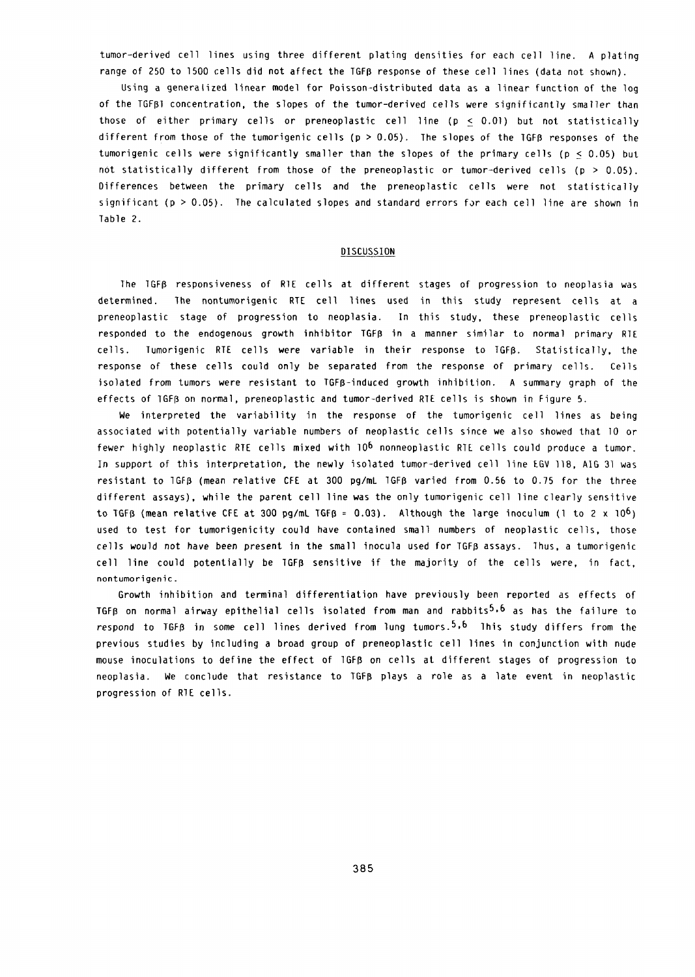tumor-derived cell lines using three different plating densities for each cell line. A plating range of 250 to 1500 cells did not affect the TGFB response of these cell lines (data not shown).

Using a generalized linear model for Poisson-distributed data as a linear function of the log of the TGFpl concentration, the slopes of the tumor-derived cells were significantly smaller than those of either primary cells or preneoplastic cell line ( $p \le 0.01$ ) but not statistically different from those of the tumorigenic cells **(p >** .05). The slopes of the GFR responses of the tumorigenic cells were significantly smaller than the slopes of the primary cells (p < 0.05) but not statistically different from those of the preneoplastic or tumor-derived cells ( $p > 0.05$ ). Differences between the primary cells and the preneoplastic cells were not statistically significant ( $p > 0.05$ ). The calculated slopes and standard errors for each cell line are shown in Table 2.

#### **DISCUSSION**

The TGFD responsiveness of RlE cells at different stages of progression to neoplasia was determined. The nontumorigenic RTE cell lines used in this study represent cells at a preneoplastic stage of progression to neoplasia. In this study, these preneoplastic cells responded to the endogenous growth inhibitor TGFB in a manner similar to normal primary RTE cells. Tumorigenic RTE cells were variable in their response to TGFR. Statistically, the response of these cells could only be separated from the response of primary cells. Cells isolated from tumors were resistant to TGFR-induced growth inhibition. A summary graph of the effects of IGFB on normal, preneoplastic and tumor-derived RTE cells is shown in Figure 5.

We interpreted the variability in the response of the tumorigenic cell lines as being associated with potentially variable numbers of neoplastic cells since we also showed that 10 or fewer highly neoplastic RTE cells mixed with 10<sup>6</sup> nonneoplastic RTE cells could produce a tumor. In support of this interpretation, the newly isolated tumor-derived cell line EGV 118, AIG 31 was resistant to 1GFB (mean relative CFE at 300 pg/mL 1GFB varied from 0.56 to 0.75 for the three different assays), while the parent cell line was the only tumorigenic cell line clearly sensitive to TGFB (mean relative CFE at 300 pg/mL TGFB = 0.03). Although the large inoculum (1 to 2 x 10<sup>6</sup>) used to test for tumorigenicity could have contained small numbers of neoplastic cells, those cells would not have been present in the small inocula used for TGFB assays. Thus, a tumorigenic cell line could potentially be TGFR sensitive if the majority of the cells were, in fact, nontumorigenic.

Growth inhibition and terminal differentiation have previously been reported as effects of TGFB on normal airway epithelial cells isolated from man and rabbits<sup>5,6</sup> as has the failure to respond to TGFB in some cell lines derived from lung tumors.<sup>5,6</sup> This study differs from the previous studies by including a broad group of preneoplastic cell lines in conjunction with nude mouse inoculations to define the effect of 1GFR on cells at different stages of progression to neoplasia. We conclude that resistance to TGFD plays a role as a late event in neoplastic progression of RIE cells.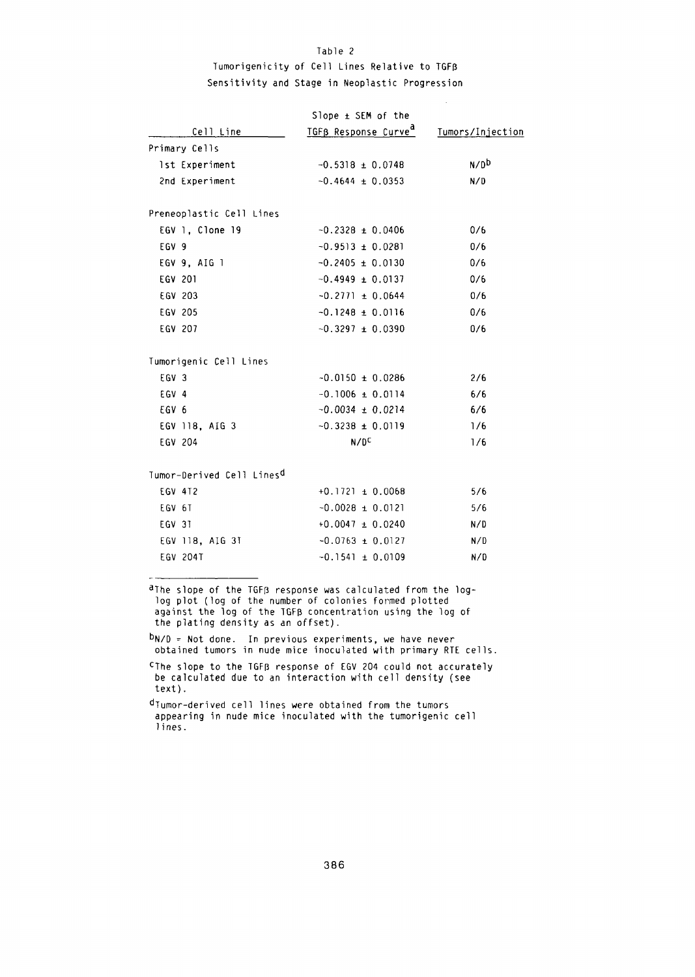## Table 2 Tumorigenicity of Cell Lines Relative to TGFp Sensitivity and Stage in Neoplastic Progression

|                                       | Slope ± SEM of the               |                  |
|---------------------------------------|----------------------------------|------------------|
| Cell Line                             | TGFB Response Curve <sup>d</sup> | Tumors/Injection |
| Primary Cells                         |                                  |                  |
| 1st Experiment                        | $-0.5318 \pm 0.0748$             | N/D <sub>p</sub> |
| 2nd Experiment                        | $-0.4644 \pm 0.0353$             | N/D              |
| Preneoplastic Cell Lines              |                                  |                  |
| EGV 1, Clone 19                       | $-0.2328 \pm 0.0406$             | 0/6              |
| EGV 9                                 | $-0.9513 \pm 0.0281$             | 0/6              |
| EGV 9, AIG 1                          | $-0.2405 \pm 0.0130$             | 0/6              |
| EGV 201                               | $-0.4949 \pm 0.0137$             | 0/6              |
| EGV 203                               | $-0.2771 \pm 0.0644$             | 0/6              |
| EGV 205                               | $-0.1248 \pm 0.0116$             | 0/6              |
| EGV 207                               | $-0.3297 \pm 0.0390$             | 0/6              |
| Tumorigenic Cell Lines                |                                  |                  |
| EGV <sub>3</sub>                      | $-0.0150 \pm 0.0286$             | 2/6              |
| EGV 4                                 | $-0.1006 \pm 0.0114$             | 6/6              |
| EGV 6                                 | $-0.0034 \pm 0.0214$             | 6/6              |
| EGV 118, AIG 3                        | $-0.3238 \pm 0.0119$             | 1/6              |
| EGV 204                               | N/D <sub>C</sub>                 | 1/6              |
| Tumor-Derived Cell Lines <sup>d</sup> |                                  |                  |
| EGV 4T2                               | $+0.1721 \pm 0.0068$             | 5/6              |
| EGV 6T                                | $-0.0028 \pm 0.0121$             | 5/6              |
| EGV 31                                | $+0.0047 \pm 0.0240$             | N/D              |
| EGV 118, AIG 3T                       | $-0.0763 \pm 0.0127$             | N/D              |
| EGV 204T                              | $-0.1541 \pm 0.0109$             | N/D              |
|                                       |                                  |                  |

aThe slope of the TGFB response was calculated from the loglog plot (log of the number of colonies formed plotted against the log of the IGFD concentration using the log of the plating density as an offset).

 $^{\textsf{D}}$ N/D = Not done. In previous experiments, we have never obtained tumors in nude mice inoculated with primary RTE cells.

CThe slope to the TGFR response of EGV 204 could not accurately be calculated due to an interaction with cell density (see text).

dTumor-derived cell lines were obtained from the tumors appearing in nude mice inoculated with the tumorigenic cell lines.